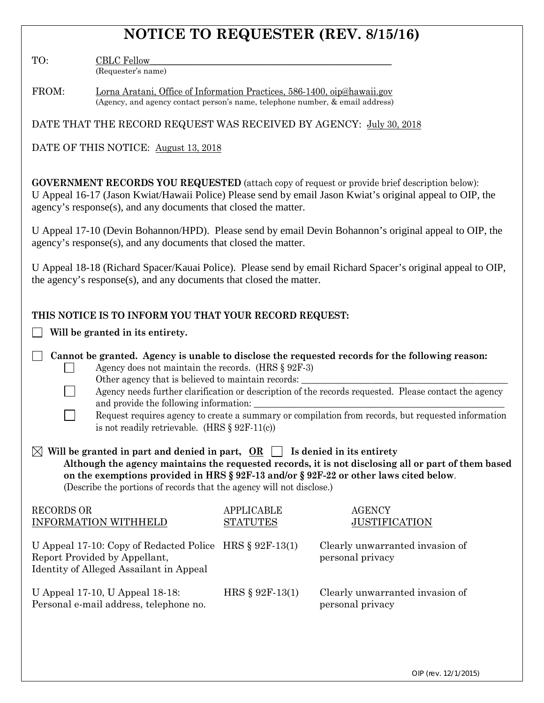# **NOTICE TO REQUESTER (REV. 8/15/16)**

TO: CBLC Fellow (Requester's name)

| FROM: | Lorna Aratani, Office of Information Practices, 586-1400, oip@hawaii.gov      |
|-------|-------------------------------------------------------------------------------|
|       | (Agency, and agency contact person's name, telephone number, & email address) |

DATE THAT THE RECORD REQUEST WAS RECEIVED BY AGENCY: July 30, 2018

DATE OF THIS NOTICE: August 13, 2018

**GOVERNMENT RECORDS YOU REQUESTED** (attach copy of request or provide brief description below): U Appeal 16-17 (Jason Kwiat/Hawaii Police) Please send by email Jason Kwiat's original appeal to OIP, the agency's response(s), and any documents that closed the matter.

U Appeal 17-10 (Devin Bohannon/HPD). Please send by email Devin Bohannon's original appeal to OIP, the agency's response(s), and any documents that closed the matter.

U Appeal 18-18 (Richard Spacer/Kauai Police). Please send by email Richard Spacer's original appeal to OIP, the agency's response(s), and any documents that closed the matter.

| THIS NOTICE IS TO INFORM YOU THAT YOUR RECORD REQUEST:                                                                                                                                                                                                                                                                                                                                                                                                                                                                        |                                      |                                                     |  |  |  |  |  |  |
|-------------------------------------------------------------------------------------------------------------------------------------------------------------------------------------------------------------------------------------------------------------------------------------------------------------------------------------------------------------------------------------------------------------------------------------------------------------------------------------------------------------------------------|--------------------------------------|-----------------------------------------------------|--|--|--|--|--|--|
| Will be granted in its entirety.                                                                                                                                                                                                                                                                                                                                                                                                                                                                                              |                                      |                                                     |  |  |  |  |  |  |
| Cannot be granted. Agency is unable to disclose the requested records for the following reason:<br>Agency does not maintain the records. (HRS $\S$ 92F-3)<br>Other agency that is believed to maintain records:<br>Agency needs further clarification or description of the records requested. Please contact the agency<br>and provide the following information:<br>Request requires agency to create a summary or compilation from records, but requested information<br>is not readily retrievable. (HRS $\S 92F-11(c)$ ) |                                      |                                                     |  |  |  |  |  |  |
| Will be granted in part and denied in part, $OR \Box$ Is denied in its entirety<br>Although the agency maintains the requested records, it is not disclosing all or part of them based<br>on the exemptions provided in HRS § 92F-13 and/or § 92F-22 or other laws cited below.<br>(Describe the portions of records that the agency will not disclose.)                                                                                                                                                                      |                                      |                                                     |  |  |  |  |  |  |
| <b>RECORDS OR</b><br><b>INFORMATION WITHHELD</b>                                                                                                                                                                                                                                                                                                                                                                                                                                                                              | <b>APPLICABLE</b><br><b>STATUTES</b> | <b>AGENCY</b><br><b>JUSTIFICATION</b>               |  |  |  |  |  |  |
| U Appeal 17-10: Copy of Redacted Police HRS $\S 92F-13(1)$<br>Report Provided by Appellant,<br>Identity of Alleged Assailant in Appeal                                                                                                                                                                                                                                                                                                                                                                                        |                                      | Clearly unwarranted invasion of<br>personal privacy |  |  |  |  |  |  |
| U Appeal 17-10, U Appeal 18-18:<br>Personal e-mail address, telephone no.                                                                                                                                                                                                                                                                                                                                                                                                                                                     | HRS § 92F-13(1)                      | Clearly unwarranted invasion of<br>personal privacy |  |  |  |  |  |  |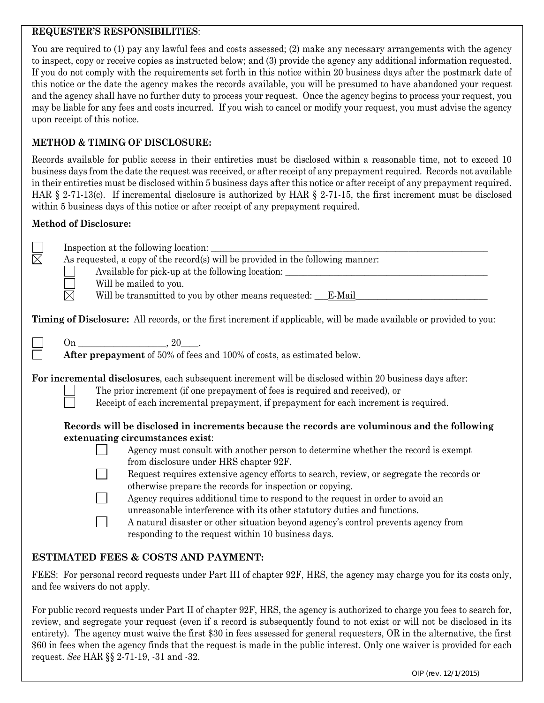#### **REQUESTER'S RESPONSIBILITIES**:

You are required to (1) pay any lawful fees and costs assessed; (2) make any necessary arrangements with the agency to inspect, copy or receive copies as instructed below; and (3) provide the agency any additional information requested. If you do not comply with the requirements set forth in this notice within 20 business days after the postmark date of this notice or the date the agency makes the records available, you will be presumed to have abandoned your request and the agency shall have no further duty to process your request. Once the agency begins to process your request, you may be liable for any fees and costs incurred. If you wish to cancel or modify your request, you must advise the agency upon receipt of this notice.

# **METHOD & TIMING OF DISCLOSURE:**

Records available for public access in their entireties must be disclosed within a reasonable time, not to exceed 10 business days from the date the request was received, or after receipt of any prepayment required. Records not available in their entireties must be disclosed within 5 business days after this notice or after receipt of any prepayment required. HAR § 2-71-13(c). If incremental disclosure is authorized by HAR § 2-71-15, the first increment must be disclosed within 5 business days of this notice or after receipt of any prepayment required.

### **Method of Disclosure:**

|             | Inspection at the following location:                                                                               |                                                                                                         |  |  |  |  |  |
|-------------|---------------------------------------------------------------------------------------------------------------------|---------------------------------------------------------------------------------------------------------|--|--|--|--|--|
| $\boxtimes$ | As requested, a copy of the record(s) will be provided in the following manner:                                     |                                                                                                         |  |  |  |  |  |
|             |                                                                                                                     | Available for pick-up at the following location: ________________________________                       |  |  |  |  |  |
|             |                                                                                                                     | Will be mailed to you.                                                                                  |  |  |  |  |  |
|             | $\times$                                                                                                            | Will be transmitted to you by other means requested: <u>F-Mail</u>                                      |  |  |  |  |  |
|             | Timing of Disclosure: All records, or the first increment if applicable, will be made available or provided to you: |                                                                                                         |  |  |  |  |  |
|             |                                                                                                                     |                                                                                                         |  |  |  |  |  |
|             |                                                                                                                     | After prepayment of 50% of fees and 100% of costs, as estimated below.                                  |  |  |  |  |  |
|             |                                                                                                                     |                                                                                                         |  |  |  |  |  |
|             |                                                                                                                     | For incremental disclosures, each subsequent increment will be disclosed within 20 business days after: |  |  |  |  |  |
|             |                                                                                                                     | The prior increment (if one prepayment of fees is required and received), or                            |  |  |  |  |  |
|             |                                                                                                                     | Receipt of each incremental prepayment, if prepayment for each increment is required.                   |  |  |  |  |  |
|             |                                                                                                                     | Records will be disclosed in increments because the records are voluminous and the following            |  |  |  |  |  |
|             |                                                                                                                     | extenuating circumstances exist:                                                                        |  |  |  |  |  |
|             |                                                                                                                     | Agency must consult with another person to determine whether the record is exempt                       |  |  |  |  |  |
|             |                                                                                                                     | from disclosure under HRS chapter 92F.                                                                  |  |  |  |  |  |
|             |                                                                                                                     | Request requires extensive agency efforts to search, review, or segregate the records or                |  |  |  |  |  |
|             |                                                                                                                     | otherwise prepare the records for inspection or copying.                                                |  |  |  |  |  |
|             |                                                                                                                     | Agency requires additional time to respond to the request in order to avoid an                          |  |  |  |  |  |
|             |                                                                                                                     | unreasonable interference with its other statutory duties and functions.                                |  |  |  |  |  |
|             |                                                                                                                     | A natural disaster or other situation beyond agency's control prevents agency from                      |  |  |  |  |  |
|             |                                                                                                                     | responding to the request within 10 business days.                                                      |  |  |  |  |  |

## **ESTIMATED FEES & COSTS AND PAYMENT:**

FEES: For personal record requests under Part III of chapter 92F, HRS, the agency may charge you for its costs only, and fee waivers do not apply.

For public record requests under Part II of chapter 92F, HRS, the agency is authorized to charge you fees to search for, review, and segregate your request (even if a record is subsequently found to not exist or will not be disclosed in its entirety). The agency must waive the first \$30 in fees assessed for general requesters, OR in the alternative, the first \$60 in fees when the agency finds that the request is made in the public interest. Only one waiver is provided for each request. *See* HAR §§ 2-71-19, -31 and -32.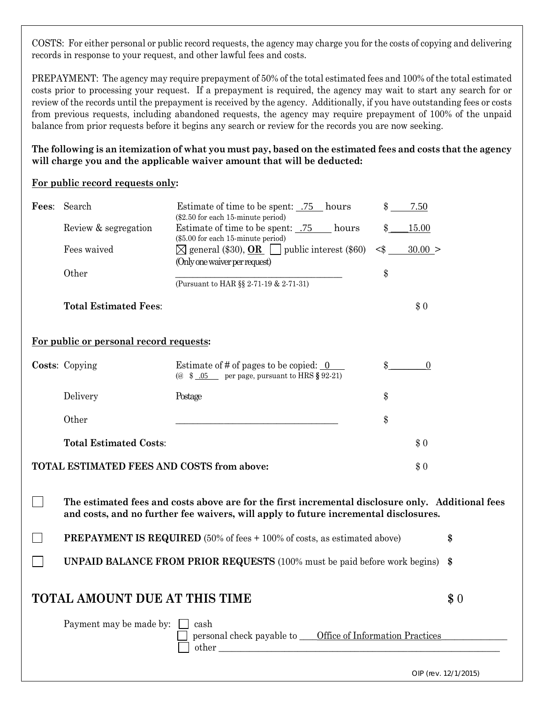COSTS: For either personal or public record requests, the agency may charge you for the costs of copying and delivering records in response to your request, and other lawful fees and costs.

PREPAYMENT: The agency may require prepayment of 50% of the total estimated fees and 100% of the total estimated costs prior to processing your request. If a prepayment is required, the agency may wait to start any search for or review of the records until the prepayment is received by the agency. Additionally, if you have outstanding fees or costs from previous requests, including abandoned requests, the agency may require prepayment of 100% of the unpaid balance from prior requests before it begins any search or review for the records you are now seeking.

**The following is an itemization of what you must pay, based on the estimated fees and costs that the agency will charge you and the applicable waiver amount that will be deducted:**

#### **For public record requests only:**

| Fees: | Search                                                                                                                                                                                    | \$<br>Estimate of time to be spent:  75 hours<br>7.50<br>(\$2.50 for each 15-minute period)                                                                        |  |  |  |  |  |  |
|-------|-------------------------------------------------------------------------------------------------------------------------------------------------------------------------------------------|--------------------------------------------------------------------------------------------------------------------------------------------------------------------|--|--|--|--|--|--|
|       | Review & segregation                                                                                                                                                                      | Estimate of time to be spent: .75 hours<br>15.00<br>\$                                                                                                             |  |  |  |  |  |  |
|       | Fees waived                                                                                                                                                                               | (\$5.00 for each 15-minute period)<br>$\boxtimes$ general (\$30), <b>OR</b> $\Box$ public interest (\$60)<br>$<$ $\$\$<br>30.00 ><br>(Only one waiver per request) |  |  |  |  |  |  |
|       | Other                                                                                                                                                                                     | \$                                                                                                                                                                 |  |  |  |  |  |  |
|       |                                                                                                                                                                                           | (Pursuant to HAR §§ 2-71-19 & 2-71-31)                                                                                                                             |  |  |  |  |  |  |
|       | <b>Total Estimated Fees:</b>                                                                                                                                                              | \$0                                                                                                                                                                |  |  |  |  |  |  |
|       | For public or personal record requests:                                                                                                                                                   |                                                                                                                                                                    |  |  |  |  |  |  |
|       | Costs: Copying                                                                                                                                                                            | Estimate of # of pages to be copied: $\underline{0}$<br>\$<br>$\boldsymbol{0}$<br>(@ $$05$ per page, pursuant to HRS § 92-21)                                      |  |  |  |  |  |  |
|       | Delivery                                                                                                                                                                                  | \$<br>Postage                                                                                                                                                      |  |  |  |  |  |  |
|       | Other                                                                                                                                                                                     | \$                                                                                                                                                                 |  |  |  |  |  |  |
|       | <b>Total Estimated Costs:</b>                                                                                                                                                             | \$0                                                                                                                                                                |  |  |  |  |  |  |
|       | TOTAL ESTIMATED FEES AND COSTS from above:                                                                                                                                                | \$0                                                                                                                                                                |  |  |  |  |  |  |
|       | The estimated fees and costs above are for the first incremental disclosure only. Additional fees<br>and costs, and no further fee waivers, will apply to future incremental disclosures. |                                                                                                                                                                    |  |  |  |  |  |  |
|       | <b>PREPAYMENT IS REQUIRED</b> (50% of fees + 100% of costs, as estimated above)                                                                                                           |                                                                                                                                                                    |  |  |  |  |  |  |
|       | <b>UNPAID BALANCE FROM PRIOR REQUESTS</b> (100% must be paid before work begins)                                                                                                          |                                                                                                                                                                    |  |  |  |  |  |  |
|       | <b>TOTAL AMOUNT DUE AT THIS TIME</b>                                                                                                                                                      |                                                                                                                                                                    |  |  |  |  |  |  |
|       | Payment may be made by:<br>cash<br>personal check payable to _____ Office of Information Practices<br>other                                                                               |                                                                                                                                                                    |  |  |  |  |  |  |

OIP (rev. 12/1/2015)